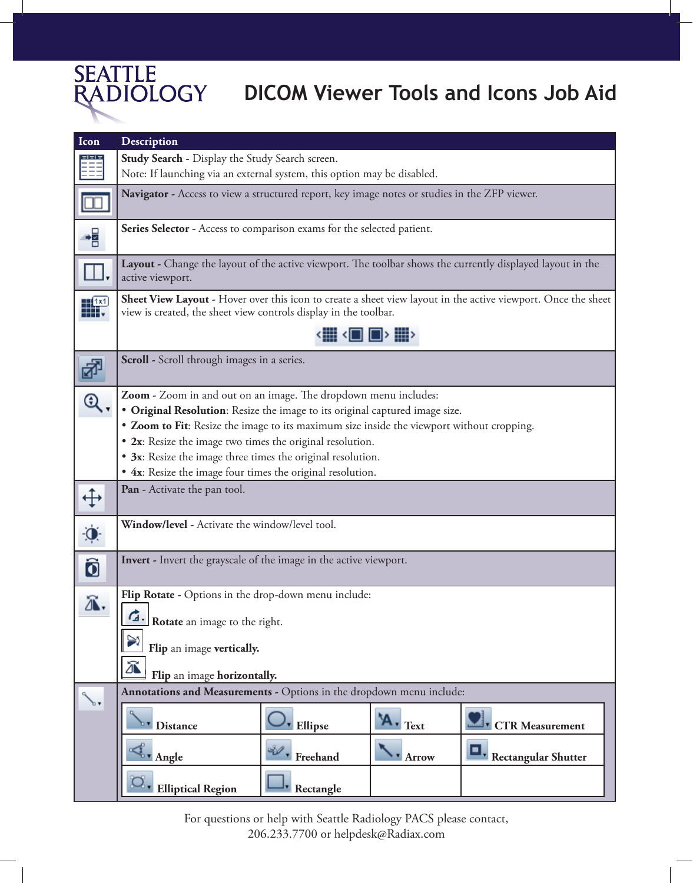

## **DICOM Viewer Tools and Icons Job Aid**

| Icon                 | Description                                                                                                                                                                       |
|----------------------|-----------------------------------------------------------------------------------------------------------------------------------------------------------------------------------|
|                      | Study Search - Display the Study Search screen.                                                                                                                                   |
|                      | Note: If launching via an external system, this option may be disabled.                                                                                                           |
|                      | Navigator - Access to view a structured report, key image notes or studies in the ZFP viewer.                                                                                     |
| 帽                    | Series Selector - Access to comparison exams for the selected patient.                                                                                                            |
|                      | Layout - Change the layout of the active viewport. The toolbar shows the currently displayed layout in the<br>active viewport.                                                    |
|                      | Sheet View Layout - Hover over this icon to create a sheet view layout in the active viewport. Once the sheet<br>view is created, the sheet view controls display in the toolbar. |
|                      | ▝█▏▝█▏█᠈█᠈                                                                                                                                                                        |
| $\frac{1}{\sqrt{2}}$ | Scroll - Scroll through images in a series.                                                                                                                                       |
| Q                    | Zoom - Zoom in and out on an image. The dropdown menu includes:                                                                                                                   |
|                      | • Original Resolution: Resize the image to its original captured image size.                                                                                                      |
|                      | • Zoom to Fit: Resize the image to its maximum size inside the viewport without cropping.                                                                                         |
|                      | • 2x: Resize the image two times the original resolution.                                                                                                                         |
|                      | • 3x: Resize the image three times the original resolution.                                                                                                                       |
|                      | • 4x: Resize the image four times the original resolution.                                                                                                                        |
| $\oplus$             | Pan - Activate the pan tool.                                                                                                                                                      |
| Ò.                   | Window/level - Activate the window/level tool.                                                                                                                                    |
| Ô                    | Invert - Invert the grayscale of the image in the active viewport.                                                                                                                |
| Л.                   | Flip Rotate - Options in the drop-down menu include:                                                                                                                              |
|                      | Rotate an image to the right.                                                                                                                                                     |
|                      | Flip an image vertically.                                                                                                                                                         |
|                      | Ж<br>Flip an image horizontally.                                                                                                                                                  |
|                      | Annotations and Measurements - Options in the dropdown menu include:                                                                                                              |
|                      | 'A - Text<br><b>CTR</b> Measurement<br><b>Ellipse</b><br><b>Distance</b>                                                                                                          |
|                      | $\mathbb{Q}$ . Angle<br>$\mathcal{P}$ Freehand<br>Rectangular Shutter<br><b>Arrow</b>                                                                                             |
|                      | 2, Elliptical Region<br>Rectangle                                                                                                                                                 |

For questions or help with Seattle Radiology PACS please contact, 206.233.7700 or helpdesk@Radiax.com